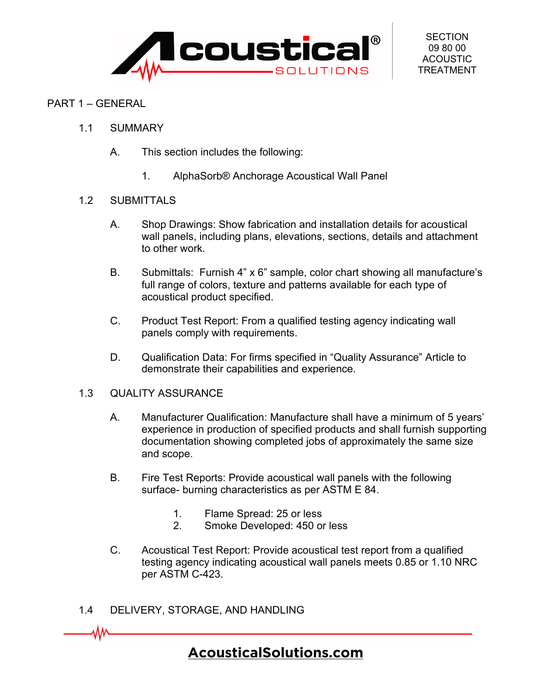

### PART 1 – GENERAL

- 1.1 SUMMARY
	- A. This section includes the following:
		- 1. AlphaSorb® Anchorage Acoustical Wall Panel

### 1.2 SUBMITTALS

- A. Shop Drawings: Show fabrication and installation details for acoustical wall panels, including plans, elevations, sections, details and attachment to other work.
- B. Submittals: Furnish 4" x 6" sample, color chart showing all manufacture's full range of colors, texture and patterns available for each type of acoustical product specified.
- C. Product Test Report: From a qualified testing agency indicating wall panels comply with requirements.
- D. Qualification Data: For firms specified in "Quality Assurance" Article to demonstrate their capabilities and experience.

#### 1.3 QUALITY ASSURANCE

- A. Manufacturer Qualification: Manufacture shall have a minimum of 5 years' experience in production of specified products and shall furnish supporting documentation showing completed jobs of approximately the same size and scope.
- B. Fire Test Reports: Provide acoustical wall panels with the following surface- burning characteristics as per ASTM E 84.
	- 1. Flame Spread: 25 or less
	- 2. Smoke Developed: 450 or less
- C. Acoustical Test Report: Provide acoustical test report from a qualified testing agency indicating acoustical wall panels meets 0.85 or 1.10 NRC per ASTM C-423.
- 1.4 DELIVERY, STORAGE, AND HANDLING

W

# **[AcousticalSolutions.com](https://acousticalsolutions.com/)**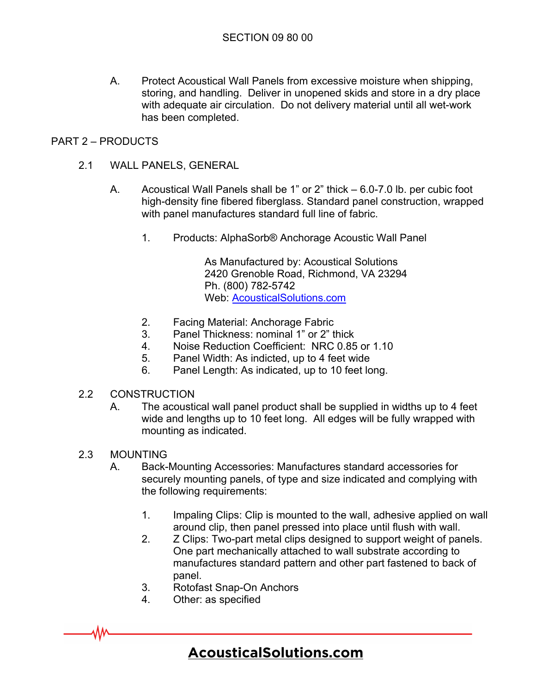A. Protect Acoustical Wall Panels from excessive moisture when shipping, storing, and handling. Deliver in unopened skids and store in a dry place with adequate air circulation. Do not delivery material until all wet-work has been completed.

## PART 2 – PRODUCTS

- 2.1 WALL PANELS, GENERAL
	- A. Acoustical Wall Panels shall be 1" or 2" thick 6.0-7.0 lb. per cubic foot high-density fine fibered fiberglass. Standard panel construction, wrapped with panel manufactures standard full line of fabric.
		- 1. Products: AlphaSorb® Anchorage Acoustic Wall Panel

As Manufactured by: Acoustical Solutions 2420 Grenoble Road, Richmond, VA 23294 Ph. (800) 782-5742 Web: [AcousticalSolutions.com](https://acousticalsolutions.com/)

- 2. Facing Material: Anchorage Fabric
- 3. Panel Thickness: nominal 1" or 2" thick
- 4. Noise Reduction Coefficient: NRC 0.85 or 1.10
- 5. Panel Width: As indicted, up to 4 feet wide
- 6. Panel Length: As indicated, up to 10 feet long.
- 2.2 CONSTRUCTION
	- A. The acoustical wall panel product shall be supplied in widths up to 4 feet wide and lengths up to 10 feet long. All edges will be fully wrapped with mounting as indicated.

### 2.3 MOUNTING

W

- A. Back-Mounting Accessories: Manufactures standard accessories for securely mounting panels, of type and size indicated and complying with the following requirements:
	- 1. Impaling Clips: Clip is mounted to the wall, adhesive applied on wall around clip, then panel pressed into place until flush with wall.
	- 2. Z Clips: Two-part metal clips designed to support weight of panels. One part mechanically attached to wall substrate according to manufactures standard pattern and other part fastened to back of panel.
	- 3. Rotofast Snap-On Anchors
	- 4. Other: as specified

# **[AcousticalSolutions.com](https://acousticalsolutions.com/)**